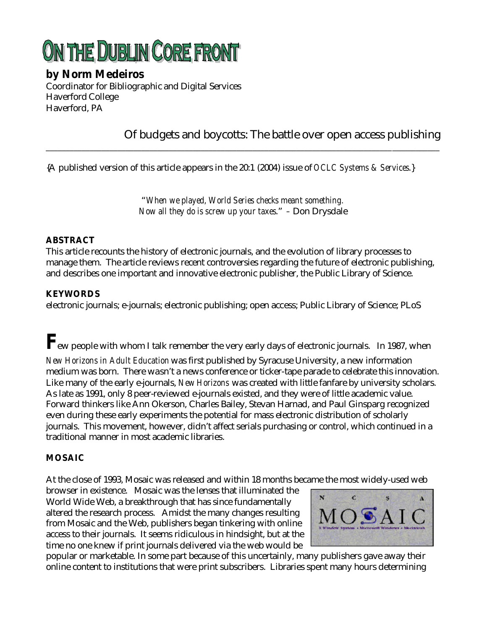# ON THE DUBLIN CORE FRONT

### **by Norm Medeiros**

Coordinator for Bibliographic and Digital Services Haverford College Haverford, PA

## Of budgets and boycotts: The battle over open access publishing

{A published version of this article appears in the 20:1 (2004) issue of *OCLC Systems & Services*.}

"*When we played, World Series checks meant something. Now all they do is screw up your taxes*." *–* Don Drysdale

\_\_\_\_\_\_\_\_\_\_\_\_\_\_\_\_\_\_\_\_\_\_\_\_\_\_\_\_\_\_\_\_\_\_\_\_\_\_\_\_\_\_\_\_\_\_\_\_\_\_\_\_\_\_\_\_\_\_\_\_\_\_\_\_\_\_\_\_\_\_\_\_\_\_\_\_\_\_\_\_\_\_\_\_\_\_\_\_\_\_\_\_\_\_\_\_\_\_\_

#### **ABSTRACT**

This article recounts the history of electronic journals, and the evolution of library processes to manage them. The article reviews recent controversies regarding the future of electronic publishing, and describes one important and innovative electronic publisher, the Public Library of Science.

#### **KEYWORDS**

electronic journals; e-journals; electronic publishing; open access; Public Library of Science; PLoS

 $\bm{F}_{\!\text{ew}}$  people with whom I talk remember the very early days of electronic journals. In 1987, when

*New Horizons in Adult Education* was first published by Syracuse University, a new information medium was born. There wasn't a news conference or ticker-tape parade to celebrate this innovation. Like many of the early e-journals, *New Horizons* was created with little fanfare by university scholars. As late as 1991, only 8 peer-reviewed e-journals existed, and they were of little academic value. Forward thinkers like Ann Okerson, Charles Bailey, Stevan Harnad, and Paul Ginsparg recognized even during these early experiments the potential for mass electronic distribution of scholarly journals. This movement, however, didn't affect serials purchasing or control, which continued in a traditional manner in most academic libraries.

#### **MOSAIC**

At the close of 1993, Mosaic was released and within 18 months became the most widely-used web

browser in existence. Mosaic was the lenses that illuminated the World Wide Web, a breakthrough that has since fundamentally altered the research process. Amidst the many changes resulting from Mosaic and the Web, publishers began tinkering with online access to their journals. It seems ridiculous in hindsight, but at the time no one knew if print journals delivered via the web would be



popular or marketable. In some part because of this uncertainly, many publishers gave away their online content to institutions that were print subscribers. Libraries spent many hours determining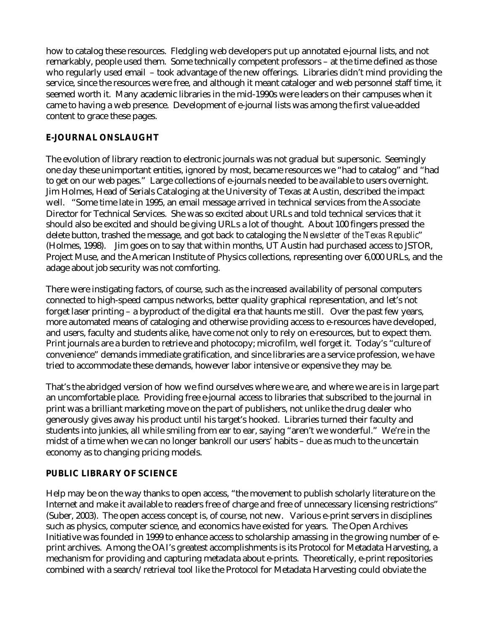how to catalog these resources. Fledgling web developers put up annotated e-journal lists, and not remarkably, people used them. Some technically competent professors – at the time defined as those who regularly used email – took advantage of the new offerings. Libraries didn't mind providing the service, since the resources were free, and although it meant cataloger and web personnel staff time, it seemed worth it. Many academic libraries in the mid-1990s were leaders on their campuses when it came to having a web presence. Development of e-journal lists was among the first value-added content to grace these pages.

#### **E-JOURNAL ONSLAUGHT**

The evolution of library reaction to electronic journals was not gradual but supersonic. Seemingly one day these unimportant entities, ignored by most, became resources we "had to catalog" and "had to get on our web pages." Large collections of e-journals needed to be available to users overnight. Jim Holmes, Head of Serials Cataloging at the University of Texas at Austin, described the impact well. "Some time late in 1995, an email message arrived in technical services from the Associate Director for Technical Services. She was so excited about URLs and told technical services that it should also be excited and should be giving URLs a lot of thought. About 100 fingers pressed the delete button, trashed the message, and got back to cataloging the *Newsletter of the Texas Republic*" (Holmes, 1998). Jim goes on to say that within months, UT Austin had purchased access to JSTOR, Project Muse, and the American Institute of Physics collections, representing over 6,000 URLs, and the adage about job security was not comforting.

There were instigating factors, of course, such as the increased availability of personal computers connected to high-speed campus networks, better quality graphical representation, and let's not forget laser printing – a byproduct of the digital era that haunts me still. Over the past few years, more automated means of cataloging and otherwise providing access to e-resources have developed, and users, faculty and students alike, have come not only to rely on e-resources, but to expect them. Print journals are a burden to retrieve and photocopy; microfilm, well forget it. Today's "culture of convenience" demands immediate gratification, and since libraries are a service profession, we have tried to accommodate these demands, however labor intensive or expensive they may be.

That's the abridged version of how we find ourselves where we are, and where we are is in large part an uncomfortable place. Providing free e-journal access to libraries that subscribed to the journal in print was a brilliant marketing move on the part of publishers, not unlike the drug dealer who generously gives away his product until his target's hooked. Libraries turned their faculty and students into junkies, all while smiling from ear to ear, saying "aren't we wonderful." We're in the midst of a time when we can no longer bankroll our users' habits – due as much to the uncertain economy as to changing pricing models.

#### **PUBLIC LIBRARY OF SCIENCE**

Help may be on the way thanks to open access, "the movement to publish scholarly literature on the Internet and make it available to readers free of charge and free of unnecessary licensing restrictions" (Suber, 2003). The open access concept is, of course, not new. Various e-print servers in disciplines such as physics, computer science, and economics have existed for years. The Open Archives Initiative was founded in 1999 to enhance access to scholarship amassing in the growing number of eprint archives. Among the OAI's greatest accomplishments is its Protocol for Metadata Harvesting, a mechanism for providing and capturing metadata about e-prints. Theoretically, e-print repositories combined with a search/retrieval tool like the Protocol for Metadata Harvesting could obviate the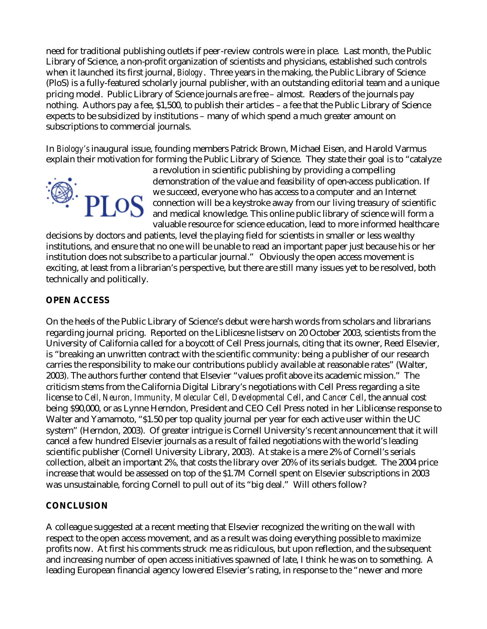need for traditional publishing outlets if peer-review controls were in place. Last month, the Public Library of Science, a non-profit organization of scientists and physicians, established such controls when it launched its first journal, *Biology*. Three years in the making, the Public Library of Science (PloS) is a fully-featured scholarly journal publisher, with an outstanding editorial team and a unique pricing model. Public Library of Science journals are free – almost. Readers of the journals pay nothing. Authors pay a fee, \$1,500, to publish their articles – a fee that the Public Library of Science expects to be subsidized by institutions – many of which spend a much greater amount on subscriptions to commercial journals.

In *Biology's* inaugural issue, founding members Patrick Brown, Michael Eisen, and Harold Varmus explain their motivation for forming the Public Library of Science. They state their goal is to "catalyze



a revolution in scientific publishing by providing a compelling demonstration of the value and feasibility of open-access publication. If we succeed, everyone who has access to a computer and an Internet connection will be a keystroke away from our living treasury of scientific and medical knowledge. This online public library of science will form a valuable resource for science education, lead to more informed healthcare

decisions by doctors and patients, level the playing field for scientists in smaller or less wealthy institutions, and ensure that no one will be unable to read an important paper just because his or her institution does not subscribe to a particular journal." Obviously the open access movement is exciting, at least from a librarian's perspective, but there are still many issues yet to be resolved, both technically and politically.

#### **OPEN ACCESS**

On the heels of the Public Library of Science's debut were harsh words from scholars and librarians regarding journal pricing. Reported on the Liblicesne listserv on 20 October 2003, scientists from the University of California called for a boycott of Cell Press journals, citing that its owner, Reed Elsevier, is "breaking an unwritten contract with the scientific community: being a publisher of our research carries the responsibility to make our contributions publicly available at reasonable rates" (Walter, 2003). The authors further contend that Elsevier "values profit above its academic mission." The criticism stems from the California Digital Library's negotiations with Cell Press regarding a site license to *Cell, Neuron, Immunity, Molecular Cell, Developmental Cell*, and *Cancer Cell*, the annual cost being \$90,000, or as Lynne Herndon, President and CEO Cell Press noted in her Liblicense response to Walter and Yamamoto, "\$1.50 per top quality journal per year for each active user within the UC system" (Herndon, 2003). Of greater intrigue is Cornell University's recent announcement that it will cancel a few hundred Elsevier journals as a result of failed negotiations with the world's leading scientific publisher (Cornell University Library, 2003). At stake is a mere 2% of Cornell's serials collection, albeit an important 2%, that costs the library over 20% of its serials budget. The 2004 price increase that would be assessed on top of the \$1.7M Cornell spent on Elsevier subscriptions in 2003 was unsustainable, forcing Cornell to pull out of its "big deal." Will others follow?

#### **CONCLUSION**

A colleague suggested at a recent meeting that Elsevier recognized the writing on the wall with respect to the open access movement, and as a result was doing everything possible to maximize profits now. At first his comments struck me as ridiculous, but upon reflection, and the subsequent and increasing number of open access initiatives spawned of late, I think he was on to something. A leading European financial agency lowered Elsevier's rating, in response to the "newer and more